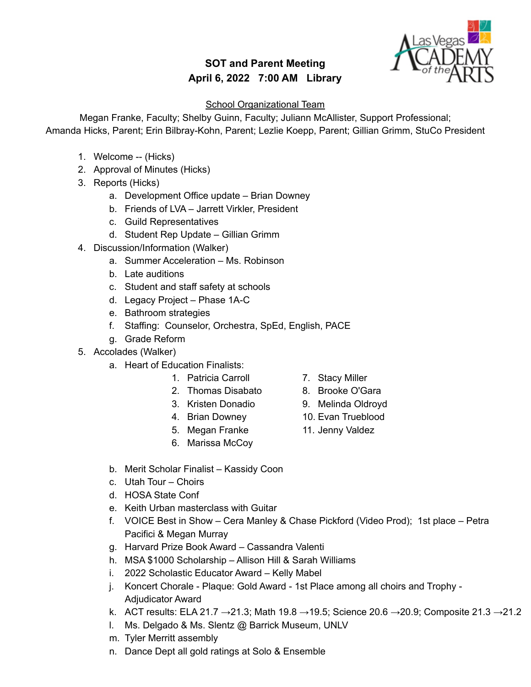## **SOT and Parent Meeting April 6, 2022 7:00 AM Library**



## **School Organizational Team**

Megan Franke, Faculty; Shelby Guinn, Faculty; Juliann McAllister, Support Professional; Amanda Hicks, Parent; Erin Bilbray-Kohn, Parent; Lezlie Koepp, Parent; Gillian Grimm, StuCo President

- 1. Welcome -- (Hicks)
- 2. Approval of Minutes (Hicks)
- 3. Reports (Hicks)
	- a. Development Office update Brian Downey
	- b. Friends of LVA Jarrett Virkler, President
	- c. Guild Representatives
	- d. Student Rep Update Gillian Grimm
- 4. Discussion/Information (Walker)
	- a. Summer Acceleration Ms. Robinson
	- b. Late auditions
	- c. Student and staff safety at schools
	- d. Legacy Project Phase 1A-C
	- e. Bathroom strategies
	- f. Staffing: Counselor, Orchestra, SpEd, English, PACE
	- g. Grade Reform
- 5. Accolades (Walker)
	- a. Heart of Education Finalists:
		- 1. Patricia Carroll
		- 2. Thomas Disabato
		- 3. Kristen Donadio

6. Marissa McCoy

- 4. Brian Downey 5. Megan Franke
	- 10. Evan Trueblood
		- 11. Jenny Valdez

7. Stacy Miller 8. Brooke O'Gara 9. Melinda Oldroyd

- b. Merit Scholar Finalist Kassidy Coon
- c. Utah Tour Choirs
- d. HOSA State Conf
- e. Keith Urban masterclass with Guitar
- f. VOICE Best in Show Cera Manley & Chase Pickford (Video Prod); 1st place Petra Pacifici & Megan Murray
- g. Harvard Prize Book Award Cassandra Valenti
- h. MSA \$1000 Scholarship Allison Hill & Sarah Williams
- i. 2022 Scholastic Educator Award Kelly Mabel
- j. Koncert Chorale Plaque: Gold Award 1st Place among all choirs and Trophy Adjudicator Award
- k. ACT results: ELA 21.7  $\rightarrow$  21.3; Math 19.8  $\rightarrow$  19.5; Science 20.6  $\rightarrow$  20.9; Composite 21.3  $\rightarrow$  21.2
- l. Ms. Delgado & Ms. Slentz @ Barrick Museum, UNLV
- m. Tyler Merritt assembly
- n. Dance Dept all gold ratings at Solo & Ensemble